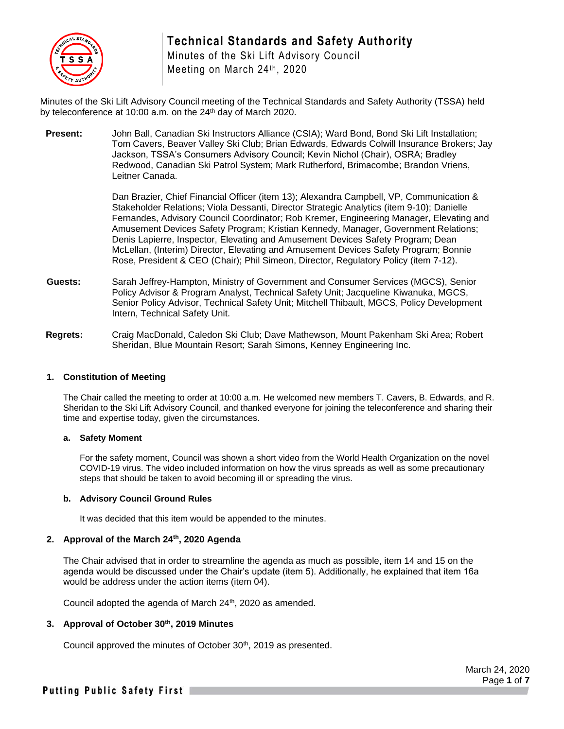

# **Technical Standards and Safety Authority**

Minutes of the Ski Lift Advisory Council Meeting on March 24th, 2020

Minutes of the Ski Lift Advisory Council meeting of the Technical Standards and Safety Authority (TSSA) held by teleconference at 10:00 a.m. on the 24<sup>th</sup> day of March 2020.

**Present:** John Ball, Canadian Ski Instructors Alliance (CSIA); Ward Bond, Bond Ski Lift Installation; Tom Cavers, Beaver Valley Ski Club; Brian Edwards, Edwards Colwill Insurance Brokers; Jay Jackson, TSSA's Consumers Advisory Council; Kevin Nichol (Chair), OSRA; Bradley Redwood, Canadian Ski Patrol System; Mark Rutherford, Brimacombe; Brandon Vriens, Leitner Canada.

> Dan Brazier, Chief Financial Officer (item 13); Alexandra Campbell, VP, Communication & Stakeholder Relations; Viola Dessanti, Director Strategic Analytics (item 9-10); Danielle Fernandes, Advisory Council Coordinator; Rob Kremer, Engineering Manager, Elevating and Amusement Devices Safety Program; Kristian Kennedy, Manager, Government Relations; Denis Lapierre, Inspector, Elevating and Amusement Devices Safety Program; Dean McLellan, (Interim) Director, Elevating and Amusement Devices Safety Program; Bonnie Rose, President & CEO (Chair); Phil Simeon, Director, Regulatory Policy (item 7-12).

- **Guests:** Sarah Jeffrey-Hampton, Ministry of Government and Consumer Services (MGCS), Senior Policy Advisor & Program Analyst, Technical Safety Unit; Jacqueline Kiwanuka, MGCS, Senior Policy Advisor, Technical Safety Unit; Mitchell Thibault, MGCS, Policy Development Intern, Technical Safety Unit.
- **Regrets:** Craig MacDonald, Caledon Ski Club; Dave Mathewson, Mount Pakenham Ski Area; Robert Sheridan, Blue Mountain Resort; Sarah Simons, Kenney Engineering Inc.

#### **1. Constitution of Meeting**

The Chair called the meeting to order at 10:00 a.m. He welcomed new members T. Cavers, B. Edwards, and R. Sheridan to the Ski Lift Advisory Council, and thanked everyone for joining the teleconference and sharing their time and expertise today, given the circumstances.

#### **a. Safety Moment**

For the safety moment, Council was shown a short video from the World Health Organization on the novel COVID-19 virus. The video included information on how the virus spreads as well as some precautionary steps that should be taken to avoid becoming ill or spreading the virus.

#### **b. Advisory Council Ground Rules**

It was decided that this item would be appended to the minutes.

## **2. Approval of the March 24 th, 2020 Agenda**

The Chair advised that in order to streamline the agenda as much as possible, item 14 and 15 on the agenda would be discussed under the Chair's update (item 5). Additionally, he explained that item 16a would be address under the action items (item 04).

Council adopted the agenda of March 24<sup>th</sup>, 2020 as amended.

## **3. Approval of October 30th, 2019 Minutes**

Council approved the minutes of October 30<sup>th</sup>, 2019 as presented.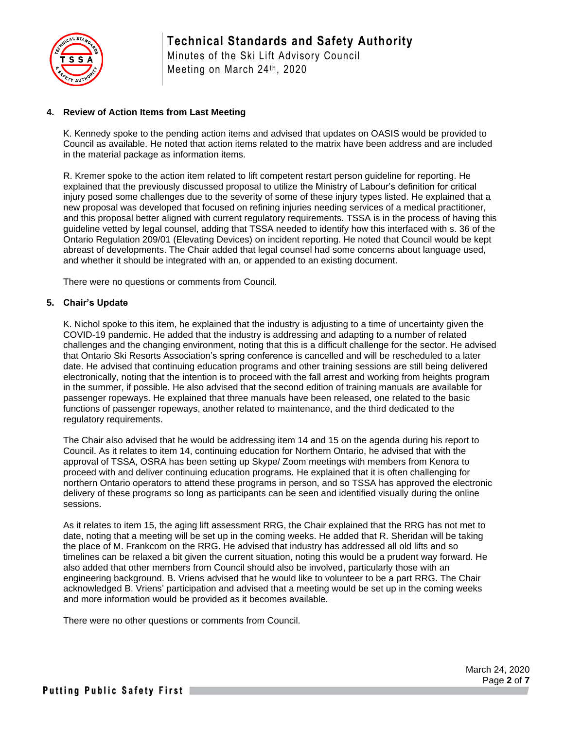

Minutes of the Ski Lift Advisory Council Meeting on March 24th, 2020

## **4. Review of Action Items from Last Meeting**

K. Kennedy spoke to the pending action items and advised that updates on OASIS would be provided to Council as available. He noted that action items related to the matrix have been address and are included in the material package as information items.

R. Kremer spoke to the action item related to lift competent restart person guideline for reporting. He explained that the previously discussed proposal to utilize the Ministry of Labour's definition for critical injury posed some challenges due to the severity of some of these injury types listed. He explained that a new proposal was developed that focused on refining injuries needing services of a medical practitioner, and this proposal better aligned with current regulatory requirements. TSSA is in the process of having this guideline vetted by legal counsel, adding that TSSA needed to identify how this interfaced with s. 36 of the Ontario Regulation 209/01 (Elevating Devices) on incident reporting. He noted that Council would be kept abreast of developments. The Chair added that legal counsel had some concerns about language used, and whether it should be integrated with an, or appended to an existing document.

There were no questions or comments from Council.

#### **5. Chair's Update**

K. Nichol spoke to this item, he explained that the industry is adjusting to a time of uncertainty given the COVID-19 pandemic. He added that the industry is addressing and adapting to a number of related challenges and the changing environment, noting that this is a difficult challenge for the sector. He advised that Ontario Ski Resorts Association's spring conference is cancelled and will be rescheduled to a later date. He advised that continuing education programs and other training sessions are still being delivered electronically, noting that the intention is to proceed with the fall arrest and working from heights program in the summer, if possible. He also advised that the second edition of training manuals are available for passenger ropeways. He explained that three manuals have been released, one related to the basic functions of passenger ropeways, another related to maintenance, and the third dedicated to the regulatory requirements.

The Chair also advised that he would be addressing item 14 and 15 on the agenda during his report to Council. As it relates to item 14, continuing education for Northern Ontario, he advised that with the approval of TSSA, OSRA has been setting up Skype/ Zoom meetings with members from Kenora to proceed with and deliver continuing education programs. He explained that it is often challenging for northern Ontario operators to attend these programs in person, and so TSSA has approved the electronic delivery of these programs so long as participants can be seen and identified visually during the online sessions.

As it relates to item 15, the aging lift assessment RRG, the Chair explained that the RRG has not met to date, noting that a meeting will be set up in the coming weeks. He added that R. Sheridan will be taking the place of M. Frankcom on the RRG. He advised that industry has addressed all old lifts and so timelines can be relaxed a bit given the current situation, noting this would be a prudent way forward. He also added that other members from Council should also be involved, particularly those with an engineering background. B. Vriens advised that he would like to volunteer to be a part RRG. The Chair acknowledged B. Vriens' participation and advised that a meeting would be set up in the coming weeks and more information would be provided as it becomes available.

There were no other questions or comments from Council.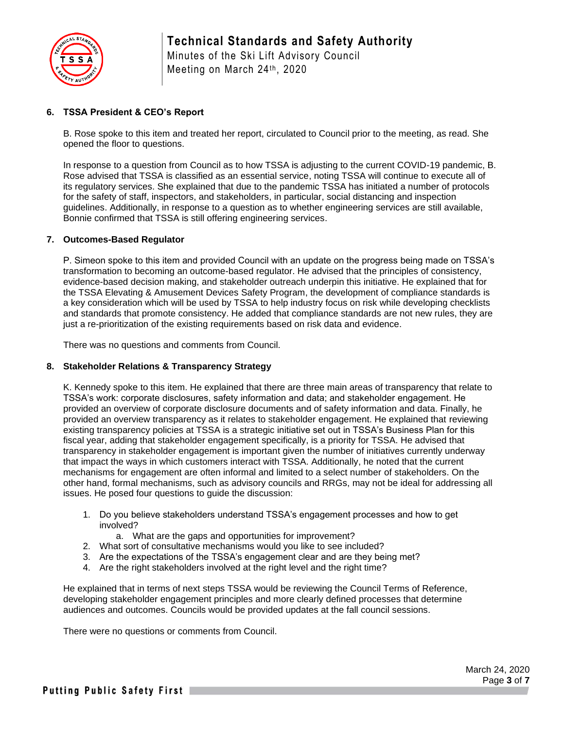

Minutes of the Ski Lift Advisory Council Meeting on March 24th, 2020

## **6. TSSA President & CEO's Report**

B. Rose spoke to this item and treated her report, circulated to Council prior to the meeting, as read. She opened the floor to questions.

In response to a question from Council as to how TSSA is adjusting to the current COVID-19 pandemic, B. Rose advised that TSSA is classified as an essential service, noting TSSA will continue to execute all of its regulatory services. She explained that due to the pandemic TSSA has initiated a number of protocols for the safety of staff, inspectors, and stakeholders, in particular, social distancing and inspection guidelines. Additionally, in response to a question as to whether engineering services are still available, Bonnie confirmed that TSSA is still offering engineering services.

#### **7. Outcomes-Based Regulator**

P. Simeon spoke to this item and provided Council with an update on the progress being made on TSSA's transformation to becoming an outcome-based regulator. He advised that the principles of consistency, evidence-based decision making, and stakeholder outreach underpin this initiative. He explained that for the TSSA Elevating & Amusement Devices Safety Program, the development of compliance standards is a key consideration which will be used by TSSA to help industry focus on risk while developing checklists and standards that promote consistency. He added that compliance standards are not new rules, they are just a re-prioritization of the existing requirements based on risk data and evidence.

There was no questions and comments from Council.

#### **8. Stakeholder Relations & Transparency Strategy**

K. Kennedy spoke to this item. He explained that there are three main areas of transparency that relate to TSSA's work: corporate disclosures, safety information and data; and stakeholder engagement. He provided an overview of corporate disclosure documents and of safety information and data. Finally, he provided an overview transparency as it relates to stakeholder engagement. He explained that reviewing existing transparency policies at TSSA is a strategic initiative set out in TSSA's Business Plan for this fiscal year, adding that stakeholder engagement specifically, is a priority for TSSA. He advised that transparency in stakeholder engagement is important given the number of initiatives currently underway that impact the ways in which customers interact with TSSA. Additionally, he noted that the current mechanisms for engagement are often informal and limited to a select number of stakeholders. On the other hand, formal mechanisms, such as advisory councils and RRGs, may not be ideal for addressing all issues. He posed four questions to guide the discussion:

- 1. Do you believe stakeholders understand TSSA's engagement processes and how to get involved?
	- a. What are the gaps and opportunities for improvement?
- 2. What sort of consultative mechanisms would you like to see included?
- 3. Are the expectations of the TSSA's engagement clear and are they being met?
- 4. Are the right stakeholders involved at the right level and the right time?

He explained that in terms of next steps TSSA would be reviewing the Council Terms of Reference, developing stakeholder engagement principles and more clearly defined processes that determine audiences and outcomes. Councils would be provided updates at the fall council sessions.

There were no questions or comments from Council.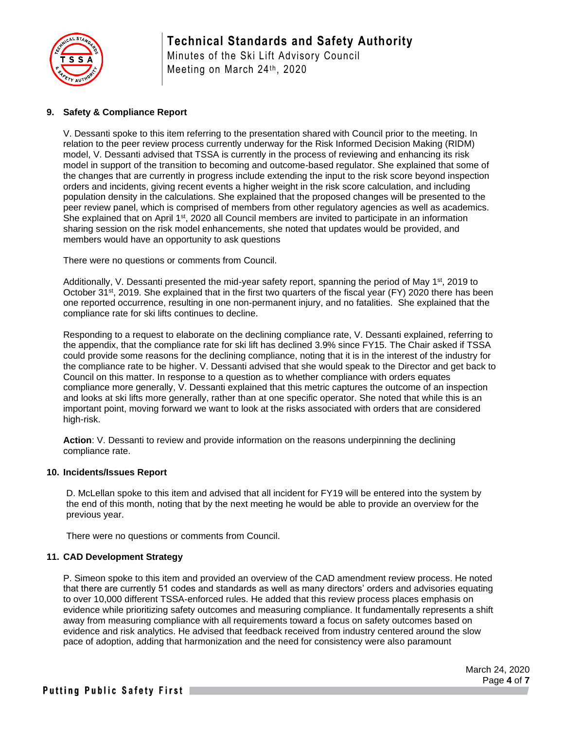

# **Technical Standards and Safety Authority**

Minutes of the Ski Lift Advisory Council Meeting on March 24th, 2020

## **9. Safety & Compliance Report**

V. Dessanti spoke to this item referring to the presentation shared with Council prior to the meeting. In relation to the peer review process currently underway for the Risk Informed Decision Making (RIDM) model, V. Dessanti advised that TSSA is currently in the process of reviewing and enhancing its risk model in support of the transition to becoming and outcome-based regulator. She explained that some of the changes that are currently in progress include extending the input to the risk score beyond inspection orders and incidents, giving recent events a higher weight in the risk score calculation, and including population density in the calculations. She explained that the proposed changes will be presented to the peer review panel, which is comprised of members from other regulatory agencies as well as academics. She explained that on April 1<sup>st</sup>, 2020 all Council members are invited to participate in an information sharing session on the risk model enhancements, she noted that updates would be provided, and members would have an opportunity to ask questions

There were no questions or comments from Council.

Additionally, V. Dessanti presented the mid-year safety report, spanning the period of May 1<sup>st</sup>, 2019 to October 31st, 2019. She explained that in the first two quarters of the fiscal year (FY) 2020 there has been one reported occurrence, resulting in one non-permanent injury, and no fatalities. She explained that the compliance rate for ski lifts continues to decline.

Responding to a request to elaborate on the declining compliance rate, V. Dessanti explained, referring to the appendix, that the compliance rate for ski lift has declined 3.9% since FY15. The Chair asked if TSSA could provide some reasons for the declining compliance, noting that it is in the interest of the industry for the compliance rate to be higher. V. Dessanti advised that she would speak to the Director and get back to Council on this matter. In response to a question as to whether compliance with orders equates compliance more generally, V. Dessanti explained that this metric captures the outcome of an inspection and looks at ski lifts more generally, rather than at one specific operator. She noted that while this is an important point, moving forward we want to look at the risks associated with orders that are considered high-risk.

**Action**: V. Dessanti to review and provide information on the reasons underpinning the declining compliance rate.

#### **10. Incidents/Issues Report**

D. McLellan spoke to this item and advised that all incident for FY19 will be entered into the system by the end of this month, noting that by the next meeting he would be able to provide an overview for the previous year.

There were no questions or comments from Council.

#### **11. CAD Development Strategy**

P. Simeon spoke to this item and provided an overview of the CAD amendment review process. He noted that there are currently 51 codes and standards as well as many directors' orders and advisories equating to over 10,000 different TSSA-enforced rules. He added that this review process places emphasis on evidence while prioritizing safety outcomes and measuring compliance. It fundamentally represents a shift away from measuring compliance with all requirements toward a focus on safety outcomes based on evidence and risk analytics. He advised that feedback received from industry centered around the slow pace of adoption, adding that harmonization and the need for consistency were also paramount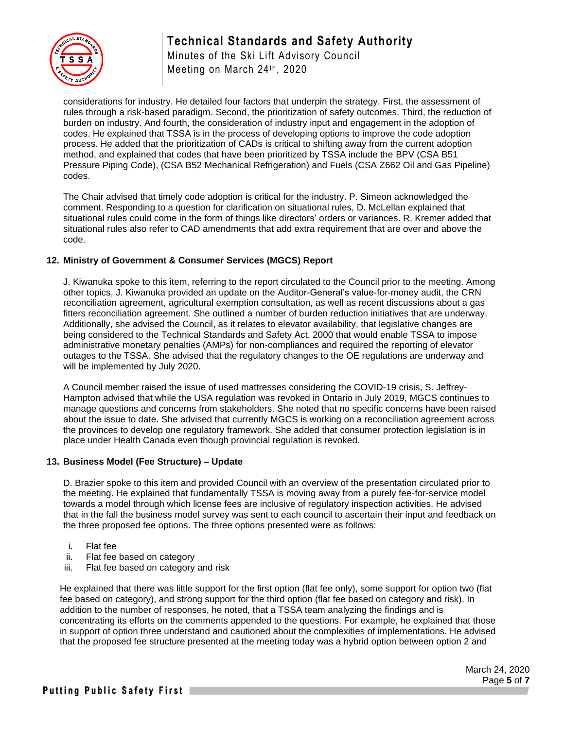



Minutes of the Ski Lift Advisory Council Meeting on March 24th, 2020

considerations for industry. He detailed four factors that underpin the strategy. First, the assessment of rules through a risk-based paradigm. Second, the prioritization of safety outcomes. Third, the reduction of burden on industry. And fourth, the consideration of industry input and engagement in the adoption of codes. He explained that TSSA is in the process of developing options to improve the code adoption process. He added that the prioritization of CADs is critical to shifting away from the current adoption method, and explained that codes that have been prioritized by TSSA include the BPV (CSA B51 Pressure Piping Code), (CSA B52 Mechanical Refrigeration) and Fuels (CSA Z662 Oil and Gas Pipeline) codes.

The Chair advised that timely code adoption is critical for the industry. P. Simeon acknowledged the comment. Responding to a question for clarification on situational rules, D. McLellan explained that situational rules could come in the form of things like directors' orders or variances. R. Kremer added that situational rules also refer to CAD amendments that add extra requirement that are over and above the code.

## **12. Ministry of Government & Consumer Services (MGCS) Report**

J. Kiwanuka spoke to this item, referring to the report circulated to the Council prior to the meeting. Among other topics, J. Kiwanuka provided an update on the Auditor-General's value-for-money audit, the CRN reconciliation agreement, agricultural exemption consultation, as well as recent discussions about a gas fitters reconciliation agreement. She outlined a number of burden reduction initiatives that are underway. Additionally, she advised the Council, as it relates to elevator availability, that legislative changes are being considered to the Technical Standards and Safety Act, 2000 that would enable TSSA to impose administrative monetary penalties (AMPs) for non-compliances and required the reporting of elevator outages to the TSSA. She advised that the regulatory changes to the OE regulations are underway and will be implemented by July 2020.

A Council member raised the issue of used mattresses considering the COVID-19 crisis, S. Jeffrey-Hampton advised that while the USA regulation was revoked in Ontario in July 2019, MGCS continues to manage questions and concerns from stakeholders. She noted that no specific concerns have been raised about the issue to date. She advised that currently MGCS is working on a reconciliation agreement across the provinces to develop one regulatory framework. She added that consumer protection legislation is in place under Health Canada even though provincial regulation is revoked.

# **13. Business Model (Fee Structure) – Update**

D. Brazier spoke to this item and provided Council with an overview of the presentation circulated prior to the meeting. He explained that fundamentally TSSA is moving away from a purely fee-for-service model towards a model through which license fees are inclusive of regulatory inspection activities. He advised that in the fall the business model survey was sent to each council to ascertain their input and feedback on the three proposed fee options. The three options presented were as follows:

- i. Flat fee
- ii. Flat fee based on category
- iii. Flat fee based on category and risk

He explained that there was little support for the first option (flat fee only), some support for option two (flat fee based on category), and strong support for the third option (flat fee based on category and risk). In addition to the number of responses, he noted, that a TSSA team analyzing the findings and is concentrating its efforts on the comments appended to the questions. For example, he explained that those in support of option three understand and cautioned about the complexities of implementations. He advised that the proposed fee structure presented at the meeting today was a hybrid option between option 2 and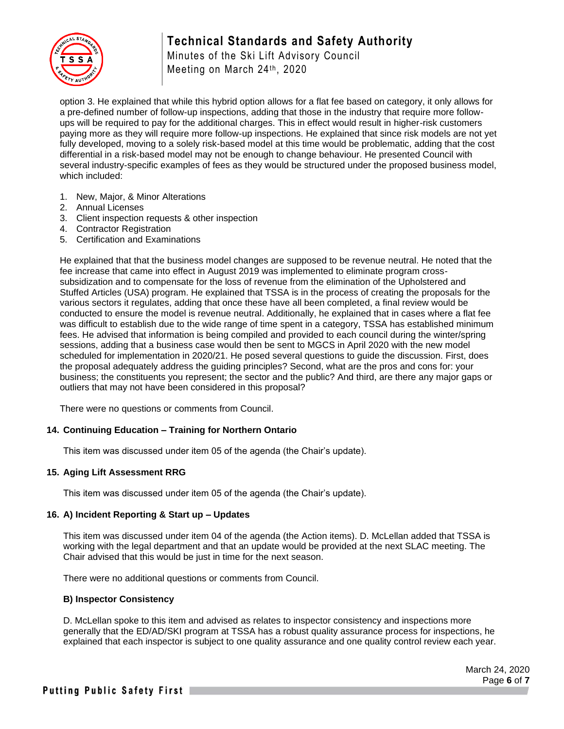# **Technical Standards and Safety Authority**



Minutes of the Ski Lift Advisory Council Meeting on March 24th, 2020

option 3. He explained that while this hybrid option allows for a flat fee based on category, it only allows for a pre-defined number of follow-up inspections, adding that those in the industry that require more followups will be required to pay for the additional charges. This in effect would result in higher-risk customers paying more as they will require more follow-up inspections. He explained that since risk models are not yet fully developed, moving to a solely risk-based model at this time would be problematic, adding that the cost differential in a risk-based model may not be enough to change behaviour. He presented Council with several industry-specific examples of fees as they would be structured under the proposed business model, which included:

- 1. New, Major, & Minor Alterations
- 2. Annual Licenses
- 3. Client inspection requests & other inspection
- 4. Contractor Registration
- 5. Certification and Examinations

He explained that that the business model changes are supposed to be revenue neutral. He noted that the fee increase that came into effect in August 2019 was implemented to eliminate program crosssubsidization and to compensate for the loss of revenue from the elimination of the Upholstered and Stuffed Articles (USA) program. He explained that TSSA is in the process of creating the proposals for the various sectors it regulates, adding that once these have all been completed, a final review would be conducted to ensure the model is revenue neutral. Additionally, he explained that in cases where a flat fee was difficult to establish due to the wide range of time spent in a category, TSSA has established minimum fees. He advised that information is being compiled and provided to each council during the winter/spring sessions, adding that a business case would then be sent to MGCS in April 2020 with the new model scheduled for implementation in 2020/21. He posed several questions to guide the discussion. First, does the proposal adequately address the guiding principles? Second, what are the pros and cons for: your business; the constituents you represent; the sector and the public? And third, are there any major gaps or outliers that may not have been considered in this proposal?

There were no questions or comments from Council.

#### **14. Continuing Education – Training for Northern Ontario**

This item was discussed under item 05 of the agenda (the Chair's update).

#### **15. Aging Lift Assessment RRG**

This item was discussed under item 05 of the agenda (the Chair's update).

#### **16. A) Incident Reporting & Start up – Updates**

This item was discussed under item 04 of the agenda (the Action items). D. McLellan added that TSSA is working with the legal department and that an update would be provided at the next SLAC meeting. The Chair advised that this would be just in time for the next season.

There were no additional questions or comments from Council.

#### **B) Inspector Consistency**

D. McLellan spoke to this item and advised as relates to inspector consistency and inspections more generally that the ED/AD/SKI program at TSSA has a robust quality assurance process for inspections, he explained that each inspector is subject to one quality assurance and one quality control review each year.